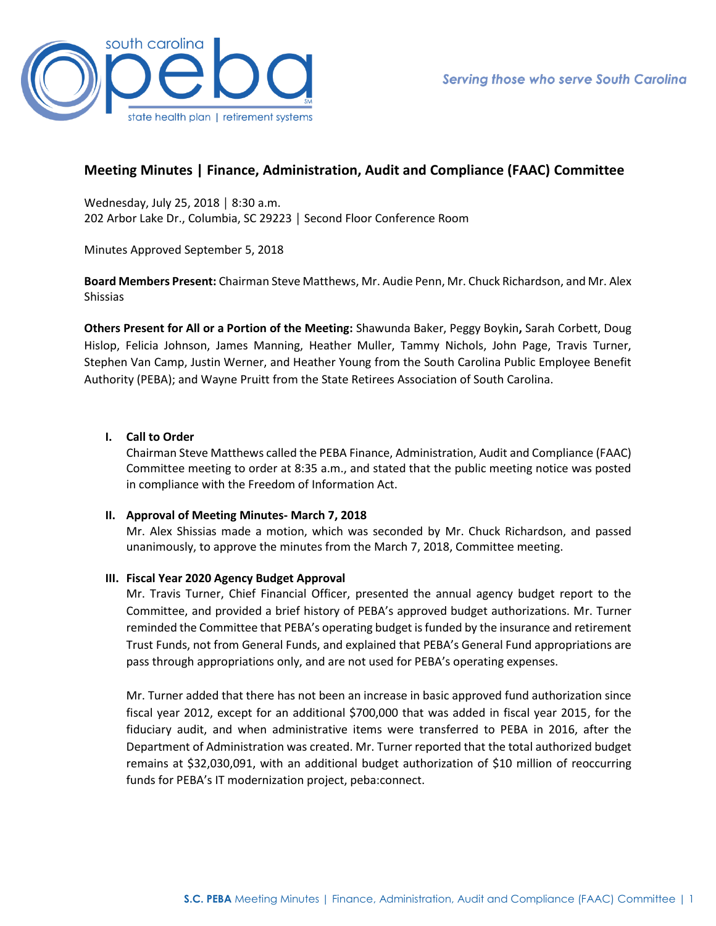

# **Meeting Minutes | Finance, Administration, Audit and Compliance (FAAC) Committee**

Wednesday, July 25, 2018 │ 8:30 a.m. 202 Arbor Lake Dr., Columbia, SC 29223 │ Second Floor Conference Room

Minutes Approved September 5, 2018

**Board Members Present:** Chairman Steve Matthews, Mr. Audie Penn, Mr. Chuck Richardson, and Mr. Alex Shissias

**Others Present for All or a Portion of the Meeting:** Shawunda Baker, Peggy Boykin**,** Sarah Corbett, Doug Hislop, Felicia Johnson, James Manning, Heather Muller, Tammy Nichols, John Page, Travis Turner, Stephen Van Camp, Justin Werner, and Heather Young from the South Carolina Public Employee Benefit Authority (PEBA); and Wayne Pruitt from the State Retirees Association of South Carolina.

# **I. Call to Order**

Chairman Steve Matthews called the PEBA Finance, Administration, Audit and Compliance (FAAC) Committee meeting to order at 8:35 a.m., and stated that the public meeting notice was posted in compliance with the Freedom of Information Act.

# **II. Approval of Meeting Minutes- March 7, 2018**

Mr. Alex Shissias made a motion, which was seconded by Mr. Chuck Richardson, and passed unanimously, to approve the minutes from the March 7, 2018, Committee meeting.

# **III. Fiscal Year 2020 Agency Budget Approval**

Mr. Travis Turner, Chief Financial Officer, presented the annual agency budget report to the Committee, and provided a brief history of PEBA's approved budget authorizations. Mr. Turner reminded the Committee that PEBA's operating budget is funded by the insurance and retirement Trust Funds, not from General Funds, and explained that PEBA's General Fund appropriations are pass through appropriations only, and are not used for PEBA's operating expenses.

Mr. Turner added that there has not been an increase in basic approved fund authorization since fiscal year 2012, except for an additional \$700,000 that was added in fiscal year 2015, for the fiduciary audit, and when administrative items were transferred to PEBA in 2016, after the Department of Administration was created. Mr. Turner reported that the total authorized budget remains at \$32,030,091, with an additional budget authorization of \$10 million of reoccurring funds for PEBA's IT modernization project, peba:connect.